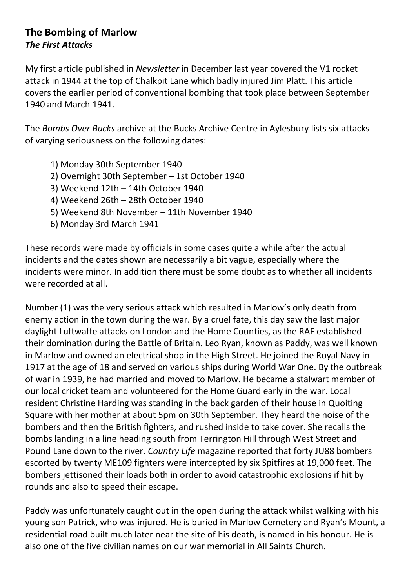## **The Bombing of Marlow** *The First Attacks*

My first article published in *Newsletter* in December last year covered the V1 rocket attack in 1944 at the top of Chalkpit Lane which badly injured Jim Platt. This article covers the earlier period of conventional bombing that took place between September 1940 and March 1941.

The *Bombs Over Bucks* archive at the Bucks Archive Centre in Aylesbury lists six attacks of varying seriousness on the following dates:

- 1) Monday 30th September 1940
- 2) Overnight 30th September 1st October 1940
- 3) Weekend 12th 14th October 1940
- 4) Weekend 26th 28th October 1940
- 5) Weekend 8th November 11th November 1940
- 6) Monday 3rd March 1941

These records were made by officials in some cases quite a while after the actual incidents and the dates shown are necessarily a bit vague, especially where the incidents were minor. In addition there must be some doubt as to whether all incidents were recorded at all.

Number (1) was the very serious attack which resulted in Marlow's only death from enemy action in the town during the war. By a cruel fate, this day saw the last major daylight Luftwaffe attacks on London and the Home Counties, as the RAF established their domination during the Battle of Britain. Leo Ryan, known as Paddy, was well known in Marlow and owned an electrical shop in the High Street. He joined the Royal Navy in 1917 at the age of 18 and served on various ships during World War One. By the outbreak of war in 1939, he had married and moved to Marlow. He became a stalwart member of our local cricket team and volunteered for the Home Guard early in the war. Local resident Christine Harding was standing in the back garden of their house in Quoiting Square with her mother at about 5pm on 30th September. They heard the noise of the bombers and then the British fighters, and rushed inside to take cover. She recalls the bombs landing in a line heading south from Terrington Hill through West Street and Pound Lane down to the river. *Country Life* magazine reported that forty JU88 bombers escorted by twenty ME109 fighters were intercepted by six Spitfires at 19,000 feet. The bombers jettisoned their loads both in order to avoid catastrophic explosions if hit by rounds and also to speed their escape.

Paddy was unfortunately caught out in the open during the attack whilst walking with his young son Patrick, who was injured. He is buried in Marlow Cemetery and Ryan's Mount, a residential road built much later near the site of his death, is named in his honour. He is also one of the five civilian names on our war memorial in All Saints Church.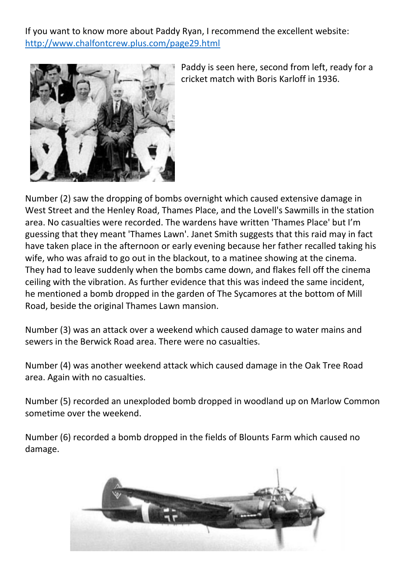If you want to know more about Paddy Ryan, I recommend the excellent website: <http://www.chalfontcrew.plus.com/page29.html>



Paddy is seen here, second from left, ready for a cricket match with Boris Karloff in 1936.

Number (2) saw the dropping of bombs overnight which caused extensive damage in West Street and the Henley Road, Thames Place, and the Lovell's Sawmills in the station area. No casualties were recorded. The wardens have written 'Thames Place' but I'm guessing that they meant 'Thames Lawn'. Janet Smith suggests that this raid may in fact have taken place in the afternoon or early evening because her father recalled taking his wife, who was afraid to go out in the blackout, to a matinee showing at the cinema. They had to leave suddenly when the bombs came down, and flakes fell off the cinema ceiling with the vibration. As further evidence that this was indeed the same incident, he mentioned a bomb dropped in the garden of The Sycamores at the bottom of Mill Road, beside the original Thames Lawn mansion.

Number (3) was an attack over a weekend which caused damage to water mains and sewers in the Berwick Road area. There were no casualties.

Number (4) was another weekend attack which caused damage in the Oak Tree Road area. Again with no casualties.

Number (5) recorded an unexploded bomb dropped in woodland up on Marlow Common sometime over the weekend.

Number (6) recorded a bomb dropped in the fields of Blounts Farm which caused no damage.